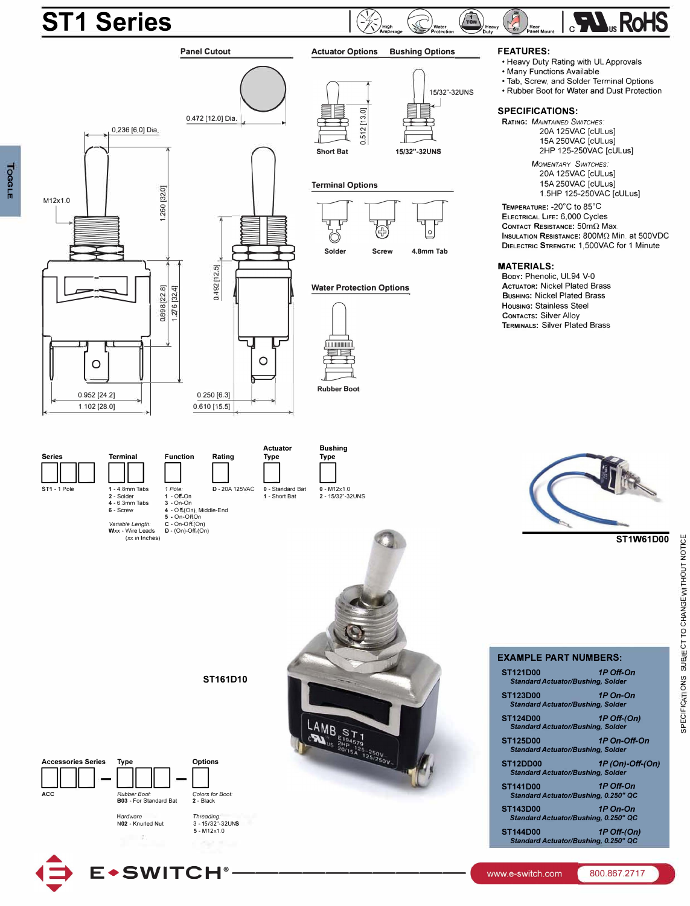## **ST1 Series**





15/32"-32UNS

 $\circ$ 

- Heavy Duty Rating with UL Approvals
- Many Functions Available
- Tab, Screw, and Solder Terminal Options
- Rubber Boot for Water and Dust Protection

## **SPECIFICATIONS:**

RATING: *MAINTAINED SWITCHES:*  20A 125VAC [cULus] 15A250VAC [cULus] 2HP 125-250VAC [cULus]

*MOMENTARY SWITCHES:*  20A 125VAC [cULus] 15A 250VAC [cULus] 1.5HP 125-250VAC [cULus]

TEMPERATURE: - 20°C to 85°C ELECTRICAL LIFE: 6,000 Cycles CONTACT RESISTANCE: 50mQ Max. INSULATION RESISTANCE: 800MQ Min. at 500VDC DIELECTRIC STRENGTH: 1,500VAC for 1 Minute

## **MATERIALS:**

Boov: Phenolic, UL94 V-0 ACTUATOR: Nickel Plated Brass BUSHING: Nickel Plated Brass Housing: Stainless Steel CONTACTS: Silver Alloy TERMINALS: Silver Plated Brass



 $\overline{\text{ST1 - 1 Pole}}$   $\overline{\text{1 - 4.8mm} \text{ Tabs}}$ 



3 - On-On 4 - Off-(On), Middle-End 5 -On-Off-On

*Variable Length:*  Wxx - Wire Leads (xx in Inches) C -On-Off-(On) D -(On)-Off-(On)



 $\sum_{\substack{0 \text{ -} \text{M12x1.0} \\ 2 \text{ - } 15/32^\circ - 32 \text{UNS}}}$ 

**.....\_**  -



**ST1W61D00** 

| <b>EXAMPLE PART NUMBERS:</b> |                                                               |
|------------------------------|---------------------------------------------------------------|
| ST121D00                     | 1P Off-On<br><b>Standard Actuator/Bushing, Solder</b>         |
| ST123D00                     | 1P On-On<br><b>Standard Actuator/Bushing, Solder</b>          |
| ST124D00                     | 1P Off-(On)<br><b>Standard Actuator/Bushing, Solder</b>       |
| <b>ST125D00</b>              | 1P On-Off-On<br><b>Standard Actuator/Bushing, Solder</b>      |
| <b>ST12DD00</b>              | $1P(On)-Off-(On)$<br><b>Standard Actuator/Bushing, Solder</b> |
| <b>ST141D00</b>              | 1P Off-On<br>Standard Actuator/Bushing, 0.250" QC             |
| ST143D00                     | 1P On-On<br>Standard Actuator/Bushing, 0.250" QC              |
| <b>ST144D00</b>              | 1P Off-(On)<br>Standard Actuator/Bushing, 0.250" QC           |

**ST161D10** 





25/250V